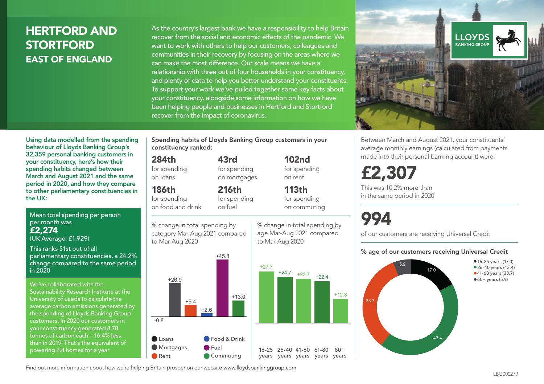### HERTFORD AND **STORTFORD** EAST OF ENGLAND

As the country's largest bank we have a responsibility to help Britain recover from the social and economic effects of the pandemic. We want to work with others to help our customers, colleagues and communities in their recovery by focusing on the areas where we can make the most difference. Our scale means we have a relationship with three out of four households in your constituency, and plenty of data to help you better understand your constituents. To support your work we've pulled together some key facts about your constituency, alongside some information on how we have been helping people and businesses in Hertford and Stortford recover from the impact of coronavirus.



Between March and August 2021, your constituents' average monthly earnings (calculated from payments made into their personal banking account) were:

## £2,307

This was 10.2% more than in the same period in 2020

# 994

 $+12.8$ 

 $80 +$ 

% change in total spending by age Mar-Aug 2021 compared

102nd for spending on rent

113th for spending on commuting

to Mar-Aug 2020

of our customers are receiving Universal Credit

#### % age of our customers receiving Universal Credit



Using data modelled from the spending behaviour of Lloyds Banking Group's 32,359 personal banking customers in your constituency, here's how their spending habits changed between March and August 2021 and the same period in 2020, and how they compare to other parliamentary constituencies in the UK:

Mean total spending per person per month was £2,274 (UK Average: £1,929)

This ranks 51st out of all parliamentary constituencies, a 24.2% change compared to the same period in 2020

We've collaborated with the Sustainability Research Institute at the University of Leeds to calculate the average carbon emissions generated by the spending of Lloyds Banking Group customers. In 2020 our customers in your constituency generated 8.78 tonnes of carbon each – 16.4% less than in 2019. That's the equivalent of powering 2.4 homes for a year

Spending habits of Lloyds Banking Group customers in your constituency ranked:

> 43rd for spending on mortgages

216th

#### 284th

for spending on loans

#### 186th

for spending on food and drink

for spending on fuel

% change in total spending by category Mar-Aug 2021 compared to Mar-Aug 2020



Find out more information about how we're helping Britain prosper on our website www.lloydsbankinggroup.com